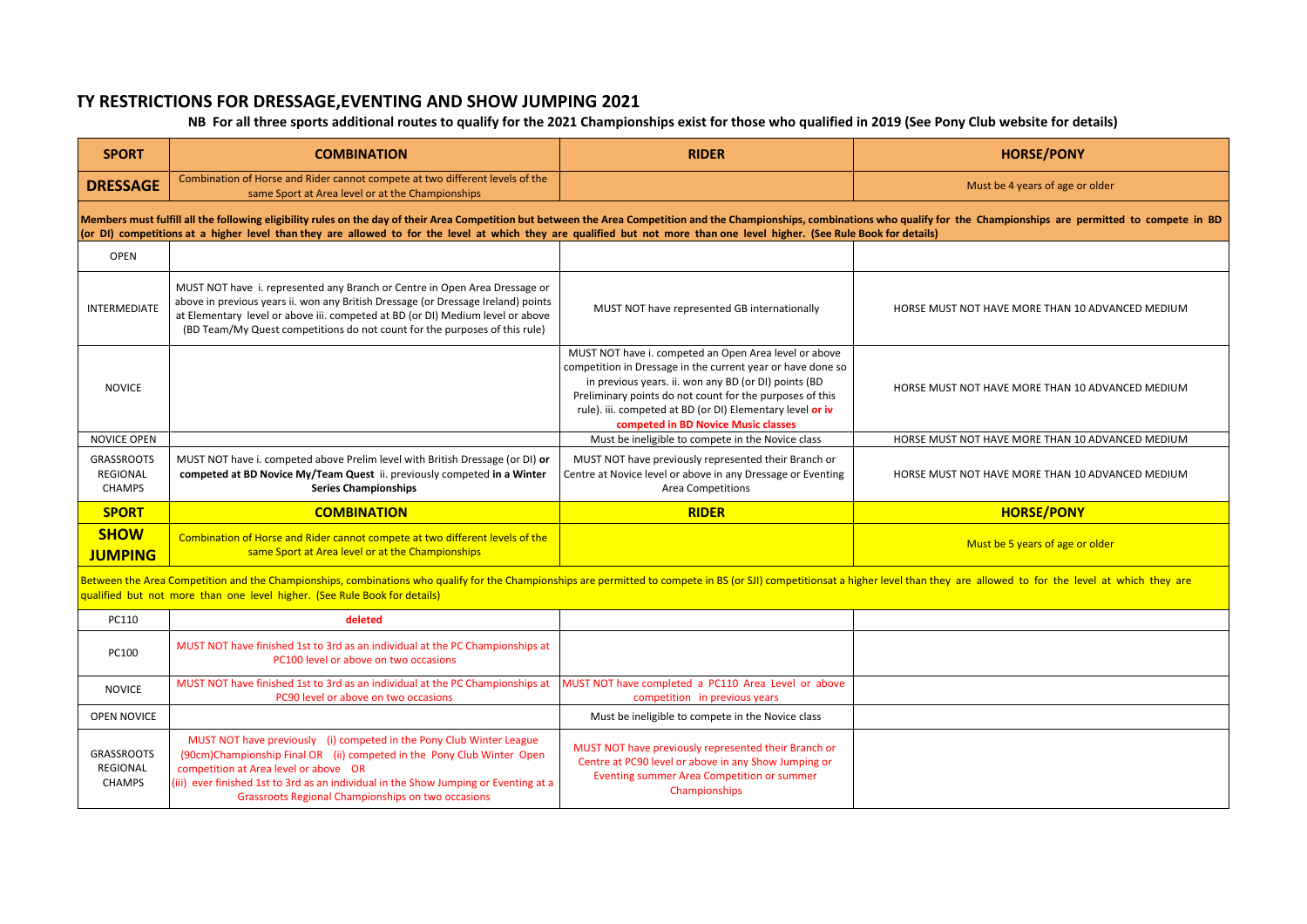## **ELIGIBILTY RESTRICTIONS FOR DRESSAGE,EVENTING AND SHOW JUMPING 2021**

## **NB For all three sports additional routes to qualify for the 2021 Championships exist for those who qualified in 2019 (See Pony Club website for details)**

| <b>SPORT</b>                                                                                                                                                                                                                                                                                                                                                                                               | <b>COMBINATION</b>                                                                                                                                                                                                                                                                                                              | <b>RIDER</b>                                                                                                                                                                                                                                                                                                                                 | <b>HORSE/PONY</b>                                |  |  |
|------------------------------------------------------------------------------------------------------------------------------------------------------------------------------------------------------------------------------------------------------------------------------------------------------------------------------------------------------------------------------------------------------------|---------------------------------------------------------------------------------------------------------------------------------------------------------------------------------------------------------------------------------------------------------------------------------------------------------------------------------|----------------------------------------------------------------------------------------------------------------------------------------------------------------------------------------------------------------------------------------------------------------------------------------------------------------------------------------------|--------------------------------------------------|--|--|
| <b>DRESSAGE</b>                                                                                                                                                                                                                                                                                                                                                                                            | Combination of Horse and Rider cannot compete at two different levels of the<br>same Sport at Area level or at the Championships                                                                                                                                                                                                |                                                                                                                                                                                                                                                                                                                                              | Must be 4 years of age or older                  |  |  |
| Members must fulfill all the following eligibility rules on the day of their Area Competition but between the Area Competition and the Championships, combinations who qualify for the Championships are permitted to compete<br>(or DI) competitions at a higher level than they are allowed to for the level at which they are qualified but not more than one level higher. (See Rule Book for details) |                                                                                                                                                                                                                                                                                                                                 |                                                                                                                                                                                                                                                                                                                                              |                                                  |  |  |
| <b>OPEN</b>                                                                                                                                                                                                                                                                                                                                                                                                |                                                                                                                                                                                                                                                                                                                                 |                                                                                                                                                                                                                                                                                                                                              |                                                  |  |  |
| INTERMEDIATE                                                                                                                                                                                                                                                                                                                                                                                               | MUST NOT have i. represented any Branch or Centre in Open Area Dressage or<br>above in previous years ii. won any British Dressage (or Dressage Ireland) points<br>at Elementary level or above iii. competed at BD (or DI) Medium level or above<br>(BD Team/My Quest competitions do not count for the purposes of this rule) | MUST NOT have represented GB internationally                                                                                                                                                                                                                                                                                                 | HORSE MUST NOT HAVE MORE THAN 10 ADVANCED MEDIUM |  |  |
| <b>NOVICE</b>                                                                                                                                                                                                                                                                                                                                                                                              |                                                                                                                                                                                                                                                                                                                                 | MUST NOT have i. competed an Open Area level or above<br>competition in Dressage in the current year or have done so<br>in previous years. ii. won any BD (or DI) points (BD<br>Preliminary points do not count for the purposes of this<br>rule). iii. competed at BD (or DI) Elementary level or iv<br>competed in BD Novice Music classes | HORSE MUST NOT HAVE MORE THAN 10 ADVANCED MEDIUM |  |  |
| <b>NOVICE OPEN</b>                                                                                                                                                                                                                                                                                                                                                                                         |                                                                                                                                                                                                                                                                                                                                 | Must be ineligible to compete in the Novice class                                                                                                                                                                                                                                                                                            | HORSE MUST NOT HAVE MORE THAN 10 ADVANCED MEDIUM |  |  |
| <b>GRASSROOTS</b><br><b>REGIONAL</b><br><b>CHAMPS</b>                                                                                                                                                                                                                                                                                                                                                      | MUST NOT have i. competed above Prelim level with British Dressage (or DI) or<br>competed at BD Novice My/Team Quest ii. previously competed in a Winter<br><b>Series Championships</b>                                                                                                                                         | MUST NOT have previously represented their Branch or<br>Centre at Novice level or above in any Dressage or Eventing<br><b>Area Competitions</b>                                                                                                                                                                                              | HORSE MUST NOT HAVE MORE THAN 10 ADVANCED MEDIUM |  |  |
| <b>SPORT</b>                                                                                                                                                                                                                                                                                                                                                                                               | <b>COMBINATION</b>                                                                                                                                                                                                                                                                                                              | <b>RIDER</b>                                                                                                                                                                                                                                                                                                                                 | <b>HORSE/PONY</b>                                |  |  |
| <b>SHOW</b><br><b>JUMPING</b>                                                                                                                                                                                                                                                                                                                                                                              | Combination of Horse and Rider cannot compete at two different levels of the<br>same Sport at Area level or at the Championships                                                                                                                                                                                                |                                                                                                                                                                                                                                                                                                                                              | Must be 5 years of age or older                  |  |  |
| Between the Area Competition and the Championships, combinations who qualify for the Championships are permitted to compete in BS (or SJI) competitionsat a higher level than they are allowed to for the level at which they<br>qualified but not more than one level higher. (See Rule Book for details)                                                                                                 |                                                                                                                                                                                                                                                                                                                                 |                                                                                                                                                                                                                                                                                                                                              |                                                  |  |  |
| PC110                                                                                                                                                                                                                                                                                                                                                                                                      | deleted                                                                                                                                                                                                                                                                                                                         |                                                                                                                                                                                                                                                                                                                                              |                                                  |  |  |
| PC100                                                                                                                                                                                                                                                                                                                                                                                                      | MUST NOT have finished 1st to 3rd as an individual at the PC Championships at                                                                                                                                                                                                                                                   |                                                                                                                                                                                                                                                                                                                                              |                                                  |  |  |
|                                                                                                                                                                                                                                                                                                                                                                                                            | PC100 level or above on two occasions                                                                                                                                                                                                                                                                                           |                                                                                                                                                                                                                                                                                                                                              |                                                  |  |  |
| <b>NOVICE</b>                                                                                                                                                                                                                                                                                                                                                                                              | MUST NOT have finished 1st to 3rd as an individual at the PC Championships at<br>PC90 level or above on two occasions                                                                                                                                                                                                           | MUST NOT have completed a PC110 Area Level or above<br>competition in previous years                                                                                                                                                                                                                                                         |                                                  |  |  |
| OPEN NOVICE                                                                                                                                                                                                                                                                                                                                                                                                |                                                                                                                                                                                                                                                                                                                                 | Must be ineligible to compete in the Novice class                                                                                                                                                                                                                                                                                            |                                                  |  |  |